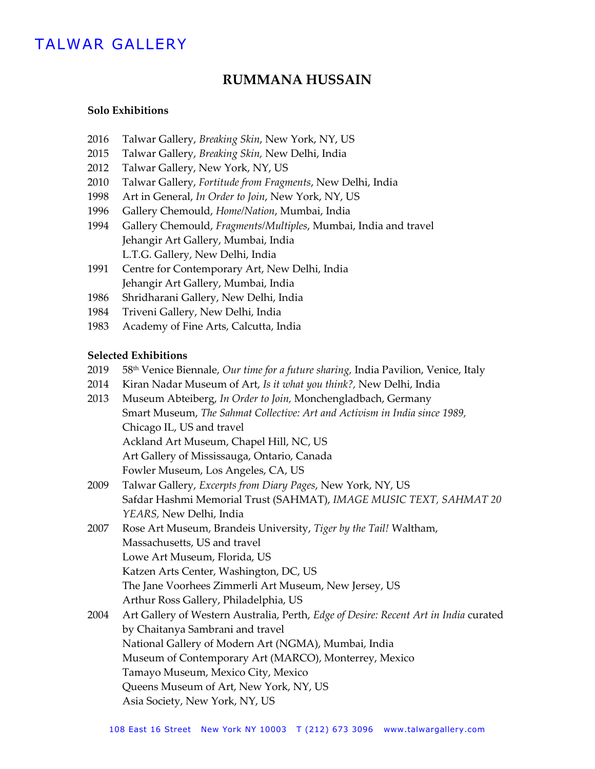# TALWAR GALLERY

## **RUMMANA HUSSAIN**

#### **Solo Exhibitions**

- 2016 Talwar Gallery, *Breaking Skin*, New York, NY, US
- 2015 Talwar Gallery, *Breaking Skin,* New Delhi, India
- 2012 Talwar Gallery, New York, NY, US
- 2010 Talwar Gallery, *Fortitude from Fragments*, New Delhi, India
- 1998 Art in General, *In Order to Join*, New York, NY, US
- 1996 Gallery Chemould, *Home/Nation*, Mumbai, India
- 1994 Gallery Chemould, *Fragments/Multiples*, Mumbai, India and travel Jehangir Art Gallery, Mumbai, India L.T.G. Gallery, New Delhi, India
- 1991 Centre for Contemporary Art, New Delhi, India Jehangir Art Gallery, Mumbai, India
- 1986 Shridharani Gallery, New Delhi, India
- 1984 Triveni Gallery, New Delhi, India
- 1983 Academy of Fine Arts, Calcutta, India

### **Selected Exhibitions**

- 2019 58th Venice Biennale, *Our time for a future sharing,* India Pavilion, Venice, Italy
- 2014 Kiran Nadar Museum of Art, *Is it what you think?,* New Delhi, India
- 2013 Museum Abteiberg, *In Order to Join,* Monchengladbach, Germany Smart Museum, *The Sahmat Collective: Art and Activism in India since 1989,*  Chicago IL, US and travel Ackland Art Museum, Chapel Hill, NC, US Art Gallery of Mississauga, Ontario, Canada Fowler Museum, Los Angeles, CA, US
- 2009 Talwar Gallery, *Excerpts from Diary Pages*, New York, NY, US Safdar Hashmi Memorial Trust (SAHMAT), *IMAGE MUSIC TEXT, SAHMAT 20 YEARS,* New Delhi, India
- 2007 Rose Art Museum, Brandeis University, *Tiger by the Tail!* Waltham, Massachusetts, US and travel Lowe Art Museum, Florida, US Katzen Arts Center, Washington, DC, US The Jane Voorhees Zimmerli Art Museum, New Jersey, US Arthur Ross Gallery, Philadelphia, US
- 2004 Art Gallery of Western Australia, Perth, *Edge of Desire: Recent Art in India* curated by Chaitanya Sambrani and travel National Gallery of Modern Art (NGMA), Mumbai, India Museum of Contemporary Art (MARCO), Monterrey, Mexico Tamayo Museum, Mexico City, Mexico Queens Museum of Art, New York, NY, US Asia Society, New York, NY, US